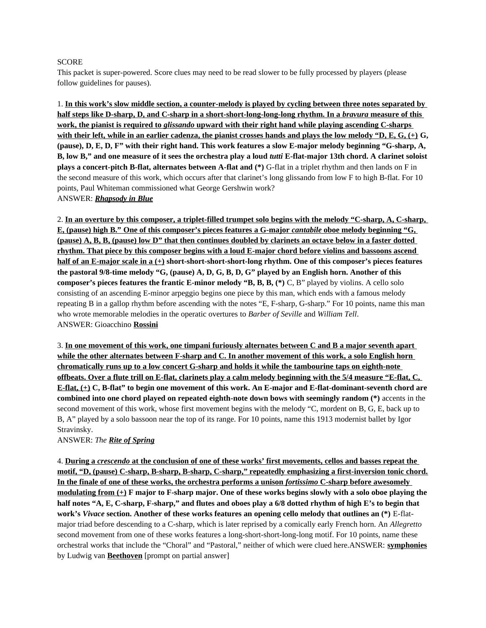## SCORE

This packet is super-powered. Score clues may need to be read slower to be fully processed by players (please follow guidelines for pauses).

1. **In this work's slow middle section, a counter-melody is played by cycling between three notes separated by half steps like D-sharp, D, and C-sharp in a short-short-long-long-long rhythm. In a** *bravura* **measure of this work, the pianist is required to** *glissando* **upward with their right hand while playing ascending C-sharps with their left, while in an earlier cadenza, the pianist crosses hands and plays the low melody "D, E, G, (+) G, (pause), D, E, D, F" with their right hand. This work features a slow E-major melody beginning "G-sharp, A, B, low B," and one measure of it sees the orchestra play a loud** *tutti* **E-flat-major 13th chord. A clarinet soloist plays a concert-pitch B-flat, alternates between A-flat and (\*)** G-flat in a triplet rhythm and then lands on F in the second measure of this work, which occurs after that clarinet's long glissando from low F to high B-flat. For 10 points, Paul Whiteman commissioned what George Gershwin work? ANSWER: *Rhapsody in Blue*

2. **In an overture by this composer, a triplet-filled trumpet solo begins with the melody "C-sharp, A, C-sharp, E, (pause) high B." One of this composer's pieces features a G-major** *cantabile* **oboe melody beginning "G, (pause) A, B, B, (pause) low D" that then continues doubled by clarinets an octave below in a faster dotted rhythm. That piece by this composer begins with a loud E-major chord before violins and bassoons ascend half of an E-major scale in a (+) short-short-short-short-long rhythm. One of this composer's pieces features the pastoral 9/8-time melody "G, (pause) A, D, G, B, D, G" played by an English horn. Another of this composer's pieces features the frantic E-minor melody "B, B, B, (\*) C, B" played by violins. A cello solo** consisting of an ascending E-minor arpeggio begins one piece by this man, which ends with a famous melody repeating B in a gallop rhythm before ascending with the notes "E, F-sharp, G-sharp." For 10 points, name this man who wrote memorable melodies in the operatic overtures to *Barber of Seville* and *William Tell*. ANSWER: Gioacchino **Rossini**

3. **In one movement of this work, one timpani furiously alternates between C and B a major seventh apart while the other alternates between F-sharp and C. In another movement of this work, a solo English horn chromatically runs up to a low concert G-sharp and holds it while the tambourine taps on eighth-note offbeats. Over a flute trill on E-flat, clarinets play a calm melody beginning with the 5/4 measure "E-flat, C, E-flat, (+) C, B-flat" to begin one movement of this work. An E-major and E-flat-dominant-seventh chord are combined into one chord played on repeated eighth-note down bows with seemingly random (\*)** accents in the second movement of this work, whose first movement begins with the melody "C, mordent on B, G, E, back up to B, A" played by a solo bassoon near the top of its range. For 10 points, name this 1913 modernist ballet by Igor Stravinsky.

## ANSWER: *The Rite of Spring*

4. **During a** *crescendo* **at the conclusion of one of these works' first movements, cellos and basses repeat the motif, "D, (pause) C-sharp, B-sharp, B-sharp, C-sharp," repeatedly emphasizing a first-inversion tonic chord. In the finale of one of these works, the orchestra performs a unison** *fortissimo* **C-sharp before awesomely modulating from (+) F major to F-sharp major. One of these works begins slowly with a solo oboe playing the half notes "A, E, C-sharp, F-sharp," and flutes and oboes play a 6/8 dotted rhythm of high E's to begin that work's** *Vivace* **section. Another of these works features an opening cello melody that outlines an (\*)** E-flatmajor triad before descending to a C-sharp, which is later reprised by a comically early French horn. An *Allegretto* second movement from one of these works features a long-short-short-long-long motif. For 10 points, name these orchestral works that include the "Choral" and "Pastoral," neither of which were clued here.ANSWER: **symphonies** by Ludwig van **Beethoven** [prompt on partial answer]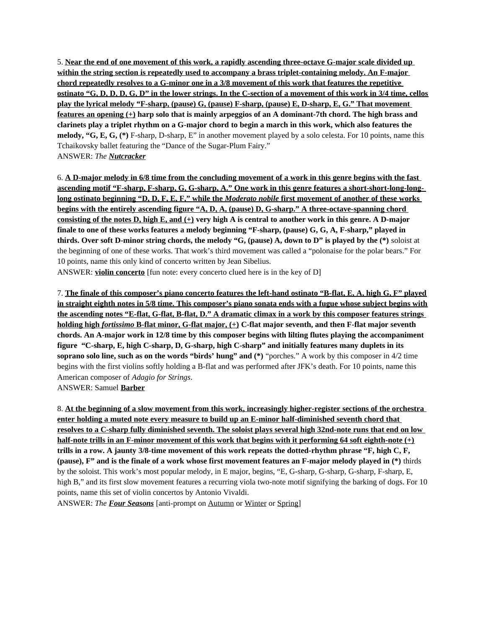5. **Near the end of one movement of this work, a rapidly ascending three-octave G-major scale divided up within the string section is repeatedly used to accompany a brass triplet-containing melody. An F-major chord repeatedly resolves to a G-minor one in a 3/8 movement of this work that features the repetitive ostinato "G, D, D, D, G, D" in the lower strings. In the C-section of a movement of this work in 3/4 time, cellos play the lyrical melody "F-sharp, (pause) G, (pause) F-sharp, (pause) E, D-sharp, E, G." That movement features an opening (+) harp solo that is mainly arpeggios of an A dominant-7th chord. The high brass and clarinets play a triplet rhythm on a G-major chord to begin a march in this work, which also features the melody, "G, E, G, (\*)** F-sharp, D-sharp, E" in another movement played by a solo celesta. For 10 points, name this Tchaikovsky ballet featuring the "Dance of the Sugar-Plum Fairy." ANSWER: *The Nutcracker*

6. **A D-major melody in 6/8 time from the concluding movement of a work in this genre begins with the fast ascending motif "F-sharp, F-sharp, G, G-sharp, A." One work in this genre features a short-short-long-long long ostinato beginning "D, D, F, E, F," while the** *Moderato nobile* **first movement of another of these works begins with the entirely ascending figure "A, D, A, (pause) D, G-sharp." A three-octave-spanning chord consisting of the notes D, high E, and (+) very high A is central to another work in this genre. A D-major finale to one of these works features a melody beginning "F-sharp, (pause) G, G, A, F-sharp," played in thirds. Over soft D-minor string chords, the melody "G, (pause) A, down to D" is played by the (\*)** soloist at the beginning of one of these works. That work's third movement was called a "polonaise for the polar bears." For 10 points, name this only kind of concerto written by Jean Sibelius.

ANSWER: **violin concerto** [fun note: every concerto clued here is in the key of D]

7. **The finale of this composer's piano concerto features the left-hand ostinato "B-flat, E, A, high G, F" played in straight eighth notes in 5/8 time. This composer's piano sonata ends with a fugue whose subject begins with the ascending notes "E-flat, G-flat, B-flat, D." A dramatic climax in a work by this composer features strings holding high** *fortissimo* **B-flat minor, G-flat major, (+) C-flat major seventh, and then F-flat major seventh chords. An A-major work in 12/8 time by this composer begins with lilting flutes playing the accompaniment figure "C-sharp, E, high C-sharp, D, G-sharp, high C-sharp" and initially features many duplets in its soprano solo line, such as on the words "birds' hung" and (\*)** "porches." A work by this composer in 4/2 time begins with the first violins softly holding a B-flat and was performed after JFK's death. For 10 points, name this American composer of *Adagio for Strings*. ANSWER: Samuel **Barber**

8. **At the beginning of a slow movement from this work, increasingly higher-register sections of the orchestra enter holding a muted note every measure to build up an E-minor half-diminished seventh chord that resolves to a C-sharp fully diminished seventh. The soloist plays several high 32nd-note runs that end on low half-note trills in an F-minor movement of this work that begins with it performing 64 soft eighth-note (+) trills in a row. A jaunty 3/8-time movement of this work repeats the dotted-rhythm phrase "F, high C, F, (pause), F" and is the finale of a work whose first movement features an F-major melody played in (\*)** thirds by the soloist. This work's most popular melody, in E major, begins, "E, G-sharp, G-sharp, G-sharp, F-sharp, E, high B," and its first slow movement features a recurring viola two-note motif signifying the barking of dogs. For 10 points, name this set of violin concertos by Antonio Vivaldi.

ANSWER: *The Four Seasons* [anti-prompt on Autumn or Winter or Spring]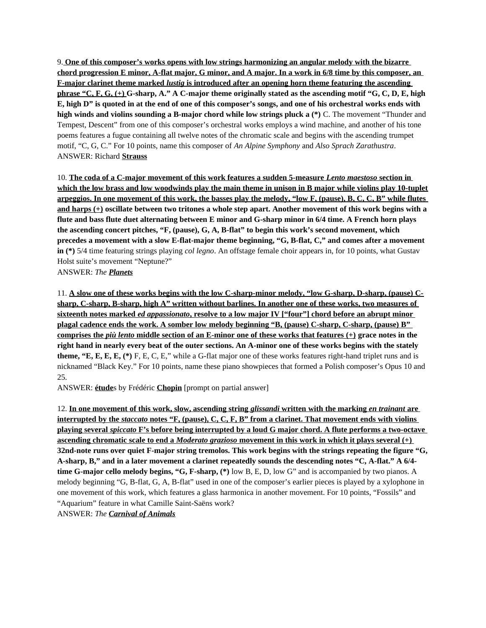9. **One of this composer's works opens with low strings harmonizing an angular melody with the bizarre chord progression E minor, A-flat major, G minor, and A major. In a work in 6/8 time by this composer, an F-major clarinet theme marked** *lustig* **is introduced after an opening horn theme featuring the ascending phrase "C, F, G, (+) G-sharp, A." A C-major theme originally stated as the ascending motif "G, C, D, E, high E, high D" is quoted in at the end of one of this composer's songs, and one of his orchestral works ends with high winds and violins sounding a B-major chord while low strings pluck a (\*)** C. The movement "Thunder and Tempest, Descent" from one of this composer's orchestral works employs a wind machine, and another of his tone poems features a fugue containing all twelve notes of the chromatic scale and begins with the ascending trumpet motif, "C, G, C." For 10 points, name this composer of *An Alpine Symphony* and *Also Sprach Zarathustra*. ANSWER: Richard **Strauss**

10. **The coda of a C-major movement of this work features a sudden 5-measure** *Lento maestoso* **section in which the low brass and low woodwinds play the main theme in unison in B major while violins play 10-tuplet arpeggios. In one movement of this work, the basses play the melody, "low F, (pause), B, C, C, B" while flutes and harps (+) oscillate between two tritones a whole step apart. Another movement of this work begins with a flute and bass flute duet alternating between E minor and G-sharp minor in 6/4 time. A French horn plays the ascending concert pitches, "F, (pause), G, A, B-flat" to begin this work's second movement, which precedes a movement with a slow E-flat-major theme beginning, "G, B-flat, C," and comes after a movement in (\*)** 5/4 time featuring strings playing *col legno*. An offstage female choir appears in, for 10 points, what Gustav Holst suite's movement "Neptune?"

ANSWER: *The Planets*

11. **A slow one of these works begins with the low C-sharp-minor melody, "low G-sharp, D-sharp, (pause) Csharp, C-sharp, B-sharp, high A" written without barlines. In another one of these works, two measures of sixteenth notes marked** *ed appassionato* **, resolve to a low major IV ["four"] chord before an abrupt minor plagal cadence ends the work. A somber low melody beginning "B, (pause) C-sharp, C-sharp, (pause) B" comprises the** *più lento* **middle section of an E-minor one of these works that features (+) grace notes in the right hand in nearly every beat of the outer sections. An A-minor one of these works begins with the stately theme, "E, E, E, E, (\*)** F, E, C, E," while a G-flat major one of these works features right-hand triplet runs and is nicknamed "Black Key." For 10 points, name these piano showpieces that formed a Polish composer's Opus 10 and 25.

ANSWER: **étude**s by Frédéric **Chopin** [prompt on partial answer]

12. **In one movement of this work, slow, ascending string** *glissandi* **written with the marking** *en trainant* **are interrupted by the** *staccato* **notes "F, (pause), C, C, F, B" from a clarinet. That movement ends with violins playing several** *spiccato* **F's before being interrupted by a loud G major chord. A flute performs a two-octave ascending chromatic scale to end a** *Moderato grazioso* **movement in this work in which it plays several (+) 32nd-note runs over quiet F-major string tremolos. This work begins with the strings repeating the figure "G, A-sharp, B," and in a later movement a clarinet repeatedly sounds the descending notes "C, A-flat." A 6/4 time G-major cello melody begins, "G, F-sharp, (\*)** low B, E, D, low G" and is accompanied by two pianos. A melody beginning "G, B-flat, G, A, B-flat" used in one of the composer's earlier pieces is played by a xylophone in one movement of this work, which features a glass harmonica in another movement. For 10 points, "Fossils" and "Aquarium" feature in what Camille Saint-Saëns work? ANSWER: *The Carnival of Animals*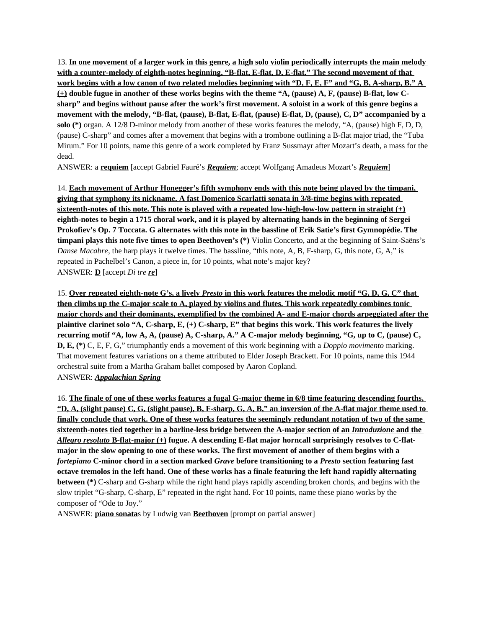13. **In one movement of a larger work in this genre, a high solo violin periodically interrupts the main melody with a counter-melody of eighth-notes beginning, "B-flat, E-flat, D, E-flat." The second movement of that work begins with a low canon of two related melodies beginning with "D, F, E, F" and "G, B, A-sharp, B." A (+) double fugue in another of these works begins with the theme "A, (pause) A, F, (pause) B-flat, low Csharp" and begins without pause after the work's first movement. A soloist in a work of this genre begins a movement with the melody, "B-flat, (pause), B-flat, E-flat, (pause) E-flat, D, (pause), C, D" accompanied by a solo (\*)** organ. A 12/8 D-minor melody from another of these works features the melody, "A, (pause) high F, D, D, (pause) C-sharp" and comes after a movement that begins with a trombone outlining a B-flat major triad, the "Tuba Mirum." For 10 points, name this genre of a work completed by Franz Sussmayr after Mozart's death, a mass for the dead.

ANSWER: a **requiem** [accept Gabriel Fauré's *Requiem*; accept Wolfgang Amadeus Mozart's *Requiem*]

14. **Each movement of Arthur Honegger's fifth symphony ends with this note being played by the timpani, giving that symphony its nickname. A fast Domenico Scarlatti sonata in 3/8-time begins with repeated sixteenth-notes of this note. This note is played with a repeated low-high-low-low pattern in straight (+) eighth-notes to begin a 1715 choral work, and it is played by alternating hands in the beginning of Sergei Prokofiev's Op. 7 Toccata. G alternates with this note in the bassline of Erik Satie's first Gymnopédie. The timpani plays this note five times to open Beethoven's (\*)** Violin Concerto, and at the beginning of Saint-Saëns's *Danse Macabre*, the harp plays it twelve times. The bassline, "this note, A, B, F-sharp, G, this note, G, A," is repeated in Pachelbel's Canon, a piece in, for 10 points, what note's major key? ANSWER: **D** [accept *Di tre re*]

15. **Over repeated eighth-note G's, a lively** *Presto* **in this work features the melodic motif "G, D, G, C" that then climbs up the C-major scale to A, played by violins and flutes. This work repeatedly combines tonic major chords and their dominants, exemplified by the combined A- and E-major chords arpeggiated after the plaintive clarinet solo "A, C-sharp, E, (+) C-sharp, E" that begins this work. This work features the lively recurring motif "A, low A, A, (pause) A, C-sharp, A." A C-major melody beginning, "G, up to C, (pause) C, D, E, (\*)** C, E, F, G," triumphantly ends a movement of this work beginning with a *Doppio movimento* marking. That movement features variations on a theme attributed to Elder Joseph Brackett. For 10 points, name this 1944 orchestral suite from a Martha Graham ballet composed by Aaron Copland. ANSWER: *Appalachian Spring*

16. **The finale of one of these works features a fugal G-major theme in 6/8 time featuring descending fourths, "D, A, (slight pause) C, G, (slight pause), B, F-sharp, G, A, B," an inversion of the A-flat major theme used to finally conclude that work. One of these works features the seemingly redundant notation of two of the same sixteenth-notes tied together in a barline-less bridge between the A-major section of an** *Introduzione* **and the**   *Allegro resoluto* **B-flat-major (+) fugue. A descending E-flat major horncall surprisingly resolves to C-flatmajor in the slow opening to one of these works. The first movement of another of them begins with a**  *fortepiano* **C-minor chord in a section marked** *Grave* **before transitioning to a** *Presto* **section featuring fast octave tremolos in the left hand. One of these works has a finale featuring the left hand rapidly alternating between (\*)** C-sharp and G-sharp while the right hand plays rapidly ascending broken chords, and begins with the slow triplet "G-sharp, C-sharp, E" repeated in the right hand. For 10 points, name these piano works by the composer of "Ode to Joy."

ANSWER: **piano sonata**s by Ludwig van **Beethoven** [prompt on partial answer]